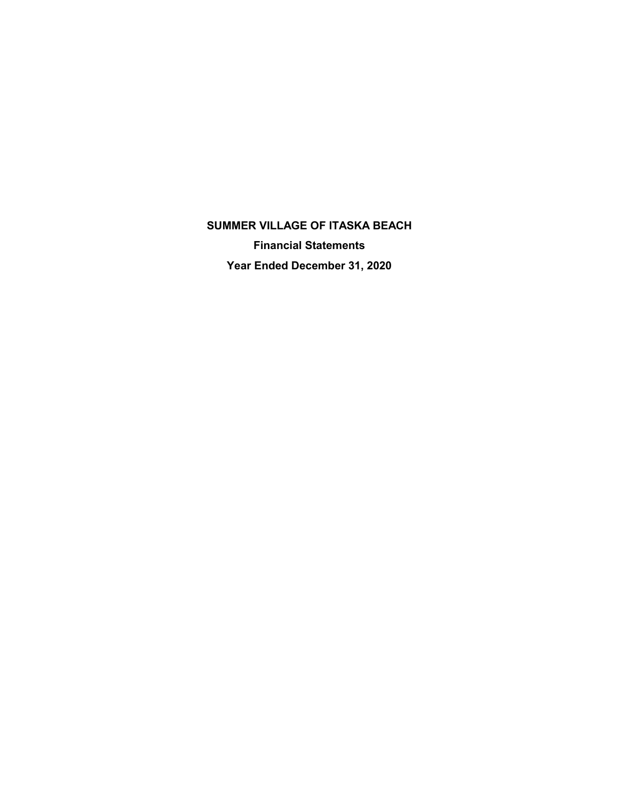**SUMMER VILLAGE OF ITASKA BEACH Financial Statements Year Ended December 31, 2020**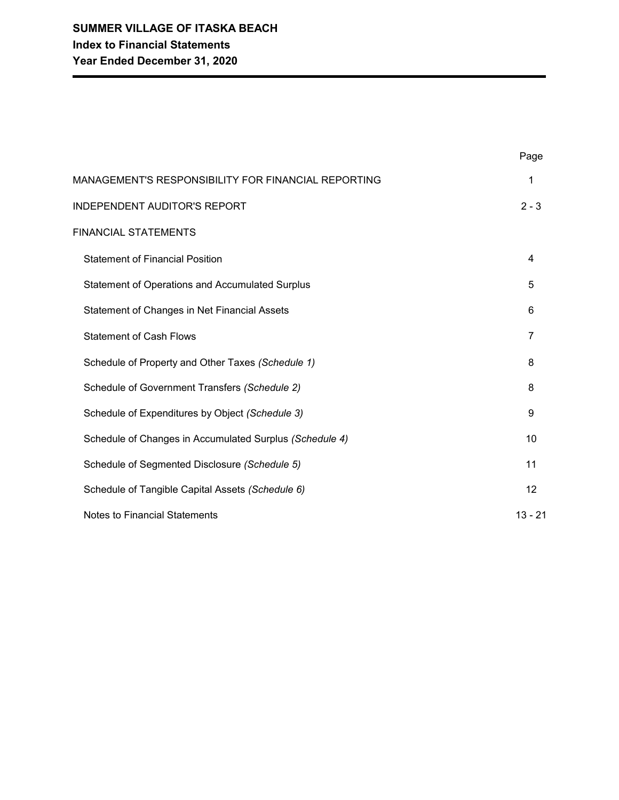| MANAGEMENT'S RESPONSIBILITY FOR FINANCIAL REPORTING     | 1         |
|---------------------------------------------------------|-----------|
| <b>INDEPENDENT AUDITOR'S REPORT</b>                     | $2 - 3$   |
| <b>FINANCIAL STATEMENTS</b>                             |           |
| <b>Statement of Financial Position</b>                  | 4         |
| Statement of Operations and Accumulated Surplus         | 5         |
| Statement of Changes in Net Financial Assets            | 6         |
| <b>Statement of Cash Flows</b>                          | 7         |
| Schedule of Property and Other Taxes (Schedule 1)       | 8         |
| Schedule of Government Transfers (Schedule 2)           | 8         |
| Schedule of Expenditures by Object (Schedule 3)         | 9         |
| Schedule of Changes in Accumulated Surplus (Schedule 4) | 10        |
| Schedule of Segmented Disclosure (Schedule 5)           | 11        |
| Schedule of Tangible Capital Assets (Schedule 6)        | 12        |
| <b>Notes to Financial Statements</b>                    | $13 - 21$ |

Page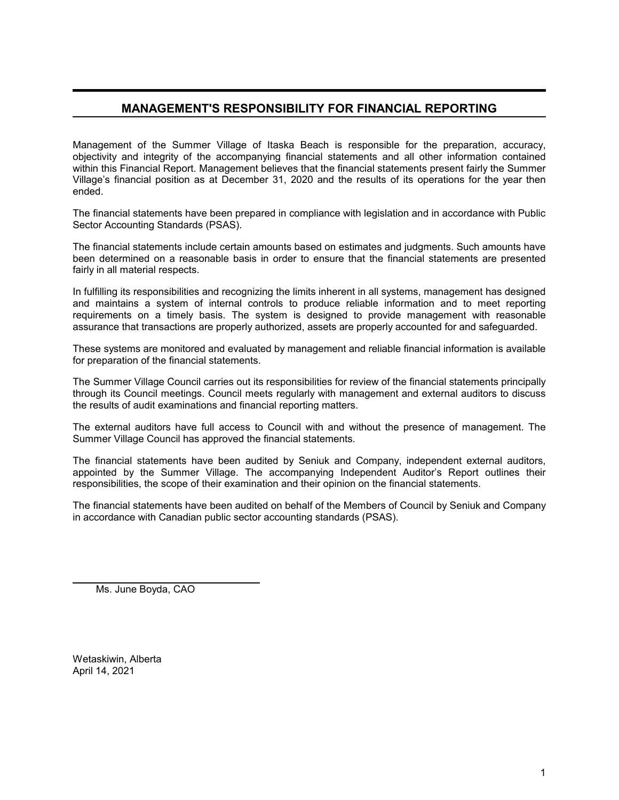### **MANAGEMENT'S RESPONSIBILITY FOR FINANCIAL REPORTING**

Management of the Summer Village of Itaska Beach is responsible for the preparation, accuracy, objectivity and integrity of the accompanying financial statements and all other information contained within this Financial Report. Management believes that the financial statements present fairly the Summer Village's financial position as at December 31, 2020 and the results of its operations for the year then ended.

The financial statements have been prepared in compliance with legislation and in accordance with Public Sector Accounting Standards (PSAS).

The financial statements include certain amounts based on estimates and judgments. Such amounts have been determined on a reasonable basis in order to ensure that the financial statements are presented fairly in all material respects.

In fulfilling its responsibilities and recognizing the limits inherent in all systems, management has designed and maintains a system of internal controls to produce reliable information and to meet reporting requirements on a timely basis. The system is designed to provide management with reasonable assurance that transactions are properly authorized, assets are properly accounted for and safeguarded.

These systems are monitored and evaluated by management and reliable financial information is available for preparation of the financial statements.

The Summer Village Council carries out its responsibilities for review of the financial statements principally through its Council meetings. Council meets regularly with management and external auditors to discuss the results of audit examinations and financial reporting matters.

The external auditors have full access to Council with and without the presence of management. The Summer Village Council has approved the financial statements.

The financial statements have been audited by Seniuk and Company, independent external auditors, appointed by the Summer Village. The accompanying Independent Auditor's Report outlines their responsibilities, the scope of their examination and their opinion on the financial statements.

The financial statements have been audited on behalf of the Members of Council by Seniuk and Company in accordance with Canadian public sector accounting standards (PSAS).

Ms. June Boyda, CAO

Wetaskiwin, Alberta April 14, 2021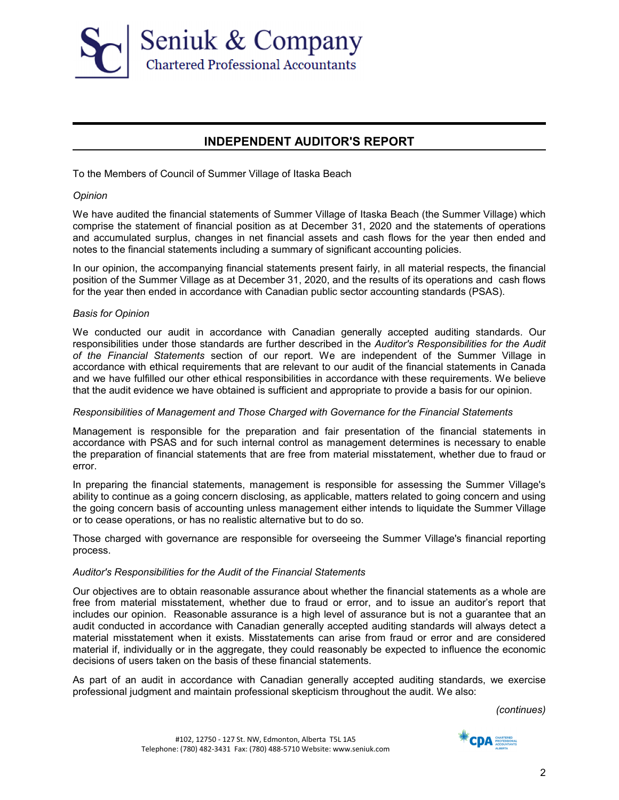

### **INDEPENDENT AUDITOR'S REPORT**

To the Members of Council of Summer Village of Itaska Beach

#### *Opinion*

We have audited the financial statements of Summer Village of Itaska Beach (the Summer Village) which comprise the statement of financial position as at December 31, 2020 and the statements of operations and accumulated surplus, changes in net financial assets and cash flows for the year then ended and notes to the financial statements including a summary of significant accounting policies.

In our opinion, the accompanying financial statements present fairly, in all material respects, the financial position of the Summer Village as at December 31, 2020, and the results of its operations and cash flows for the year then ended in accordance with Canadian public sector accounting standards (PSAS).

#### *Basis for Opinion*

We conducted our audit in accordance with Canadian generally accepted auditing standards. Our responsibilities under those standards are further described in the *Auditor's Responsibilities for the Audit of the Financial Statements* section of our report. We are independent of the Summer Village in accordance with ethical requirements that are relevant to our audit of the financial statements in Canada and we have fulfilled our other ethical responsibilities in accordance with these requirements. We believe that the audit evidence we have obtained is sufficient and appropriate to provide a basis for our opinion.

#### *Responsibilities of Management and Those Charged with Governance for the Financial Statements*

Management is responsible for the preparation and fair presentation of the financial statements in accordance with PSAS and for such internal control as management determines is necessary to enable the preparation of financial statements that are free from material misstatement, whether due to fraud or error.

In preparing the financial statements, management is responsible for assessing the Summer Village's ability to continue as a going concern disclosing, as applicable, matters related to going concern and using the going concern basis of accounting unless management either intends to liquidate the Summer Village or to cease operations, or has no realistic alternative but to do so.

Those charged with governance are responsible for overseeing the Summer Village's financial reporting process.

#### *Auditor's Responsibilities for the Audit of the Financial Statements*

Our objectives are to obtain reasonable assurance about whether the financial statements as a whole are free from material misstatement, whether due to fraud or error, and to issue an auditor's report that includes our opinion. Reasonable assurance is a high level of assurance but is not a guarantee that an audit conducted in accordance with Canadian generally accepted auditing standards will always detect a material misstatement when it exists. Misstatements can arise from fraud or error and are considered material if, individually or in the aggregate, they could reasonably be expected to influence the economic decisions of users taken on the basis of these financial statements.

As part of an audit in accordance with Canadian generally accepted auditing standards, we exercise professional judgment and maintain professional skepticism throughout the audit. We also:

*(continues)*

#102, 12750 - 127 St. NW, Edmonton, Alberta T5L 1A5 Telephone: (780) 482-3431 Fax: (780) 488-5710 Website: www.seniuk.com

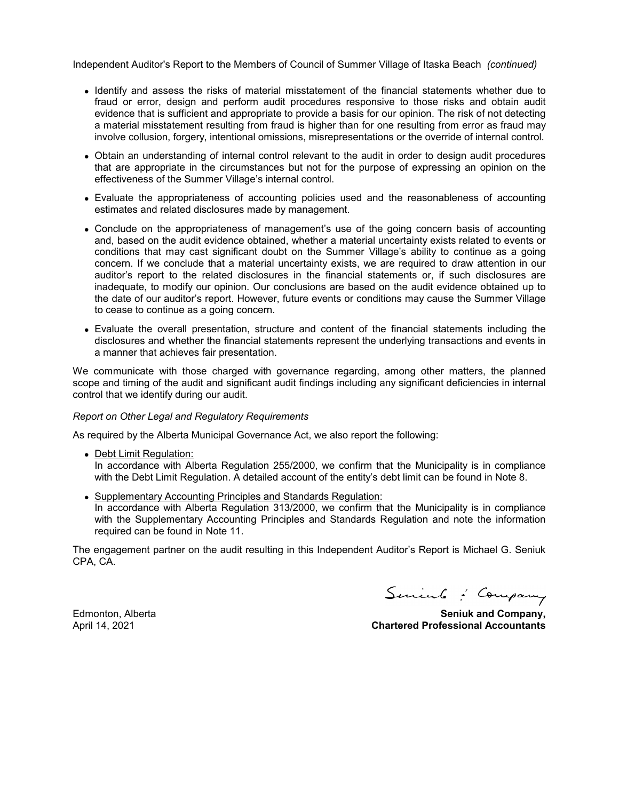Independent Auditor's Report to the Members of Council of Summer Village of Itaska Beach *(continued)*

- Identify and assess the risks of material misstatement of the financial statements whether due to fraud or error, design and perform audit procedures responsive to those risks and obtain audit evidence that is sufficient and appropriate to provide a basis for our opinion. The risk of not detecting a material misstatement resulting from fraud is higher than for one resulting from error as fraud may involve collusion, forgery, intentional omissions, misrepresentations or the override of internal control.
- Obtain an understanding of internal control relevant to the audit in order to design audit procedures that are appropriate in the circumstances but not for the purpose of expressing an opinion on the effectiveness of the Summer Village's internal control.
- Evaluate the appropriateness of accounting policies used and the reasonableness of accounting estimates and related disclosures made by management.
- Conclude on the appropriateness of management's use of the going concern basis of accounting and, based on the audit evidence obtained, whether a material uncertainty exists related to events or conditions that may cast significant doubt on the Summer Village's ability to continue as a going concern. If we conclude that a material uncertainty exists, we are required to draw attention in our auditor's report to the related disclosures in the financial statements or, if such disclosures are inadequate, to modify our opinion. Our conclusions are based on the audit evidence obtained up to the date of our auditor's report. However, future events or conditions may cause the Summer Village to cease to continue as a going concern.
- Evaluate the overall presentation, structure and content of the financial statements including the disclosures and whether the financial statements represent the underlying transactions and events in a manner that achieves fair presentation.

We communicate with those charged with governance regarding, among other matters, the planned scope and timing of the audit and significant audit findings including any significant deficiencies in internal control that we identify during our audit.

#### *Report on Other Legal and Regulatory Requirements*

As required by the Alberta Municipal Governance Act, we also report the following:

- Debt Limit Regulation: In accordance with Alberta Regulation 255/2000, we confirm that the Municipality is in compliance with the Debt Limit Regulation. A detailed account of the entity's debt limit can be found in Note 8.
- Supplementary Accounting Principles and Standards Regulation: In accordance with Alberta Regulation 313/2000, we confirm that the Municipality is in compliance with the Supplementary Accounting Principles and Standards Regulation and note the information required can be found in Note 11.

The engagement partner on the audit resulting in this Independent Auditor's Report is Michael G. Seniuk CPA, CA.

Seniul : Company

Edmonton, Alberta **Seniuk and Company,** April 14, 2021 **Chartered Professional Accountants**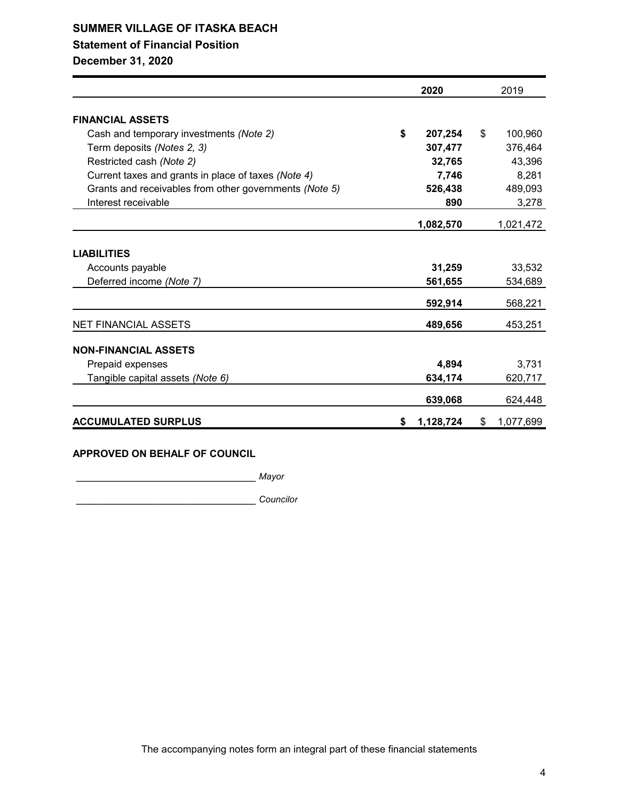### **Statement of Financial Position**

**December 31, 2020**

|                                                        | 2020            | 2019            |
|--------------------------------------------------------|-----------------|-----------------|
| <b>FINANCIAL ASSETS</b>                                |                 |                 |
| Cash and temporary investments (Note 2)                | \$<br>207,254   | \$<br>100,960   |
| Term deposits (Notes 2, 3)                             | 307,477         | 376,464         |
| Restricted cash (Note 2)                               | 32,765          | 43,396          |
| Current taxes and grants in place of taxes (Note 4)    | 7,746           | 8,281           |
| Grants and receivables from other governments (Note 5) | 526,438         | 489,093         |
| Interest receivable                                    | 890             | 3,278           |
|                                                        | 1,082,570       | 1,021,472       |
| <b>LIABILITIES</b>                                     |                 |                 |
| Accounts payable                                       | 31,259          | 33,532          |
| Deferred income (Note 7)                               | 561,655         | 534,689         |
|                                                        | 592,914         | 568,221         |
| <b>NET FINANCIAL ASSETS</b>                            | 489,656         | 453,251         |
| <b>NON-FINANCIAL ASSETS</b>                            |                 |                 |
| Prepaid expenses                                       | 4,894           | 3,731           |
| Tangible capital assets (Note 6)                       | 634,174         | 620,717         |
|                                                        | 639,068         | 624,448         |
| <b>ACCUMULATED SURPLUS</b>                             | \$<br>1,128,724 | \$<br>1,077,699 |

#### **APPROVED ON BEHALF OF COUNCIL**

\_\_\_\_\_\_\_\_\_\_\_\_\_\_\_\_\_\_\_\_\_\_\_\_\_\_\_\_\_ *Mayor*

\_\_\_\_\_\_\_\_\_\_\_\_\_\_\_\_\_\_\_\_\_\_\_\_\_\_\_\_\_ *Councilor*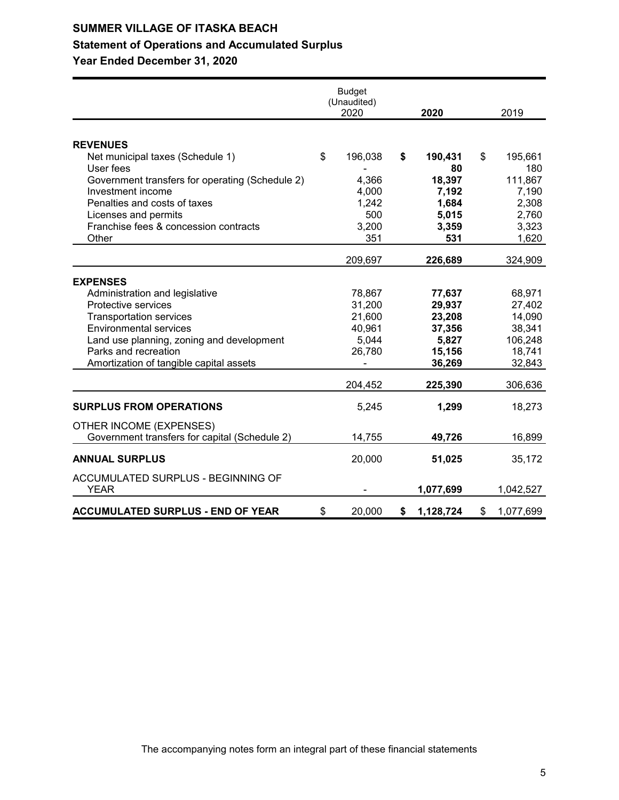### **Statement of Operations and Accumulated Surplus**

|                                                                   | <b>Budget</b><br>(Unaudited)<br>2020 | 2020 |                  |    | 2019             |
|-------------------------------------------------------------------|--------------------------------------|------|------------------|----|------------------|
|                                                                   |                                      |      |                  |    |                  |
| <b>REVENUES</b>                                                   |                                      |      |                  |    |                  |
| Net municipal taxes (Schedule 1)                                  | \$<br>196,038                        | \$   | 190,431          | \$ | 195,661          |
| User fees                                                         |                                      |      | 80               |    | 180              |
| Government transfers for operating (Schedule 2)                   | 4,366                                |      | 18,397           |    | 111,867          |
| Investment income                                                 | 4,000                                |      | 7,192            |    | 7,190            |
| Penalties and costs of taxes                                      | 1,242                                |      | 1,684            |    | 2,308            |
| Licenses and permits                                              | 500                                  |      | 5,015            |    | 2,760            |
| Franchise fees & concession contracts                             | 3,200                                |      | 3,359            |    | 3,323            |
| Other                                                             | 351                                  |      | 531              |    | 1,620            |
|                                                                   | 209,697                              |      | 226,689          |    | 324,909          |
|                                                                   |                                      |      |                  |    |                  |
| <b>EXPENSES</b>                                                   |                                      |      |                  |    |                  |
| Administration and legislative                                    | 78,867                               |      | 77,637           |    | 68,971           |
| Protective services                                               | 31,200                               |      | 29,937           |    | 27,402           |
| <b>Transportation services</b>                                    | 21,600                               |      | 23,208           |    | 14,090           |
| <b>Environmental services</b>                                     | 40,961                               |      | 37,356           |    | 38,341           |
| Land use planning, zoning and development<br>Parks and recreation | 5,044                                |      | 5,827            |    | 106,248          |
| Amortization of tangible capital assets                           | 26,780                               |      | 15,156<br>36,269 |    | 18,741<br>32,843 |
|                                                                   |                                      |      |                  |    |                  |
|                                                                   | 204,452                              |      | 225,390          |    | 306,636          |
| <b>SURPLUS FROM OPERATIONS</b>                                    | 5,245                                |      | 1,299            |    | 18,273           |
| OTHER INCOME (EXPENSES)                                           |                                      |      |                  |    |                  |
| Government transfers for capital (Schedule 2)                     | 14,755                               |      | 49,726           |    | 16,899           |
| <b>ANNUAL SURPLUS</b>                                             | 20,000                               |      | 51,025           |    | 35,172           |
| ACCUMULATED SURPLUS - BEGINNING OF                                |                                      |      |                  |    |                  |
| <b>YEAR</b>                                                       |                                      |      | 1,077,699        |    | 1,042,527        |
| <b>ACCUMULATED SURPLUS - END OF YEAR</b>                          | \$<br>20,000                         | \$   | 1,128,724        | \$ | 1,077,699        |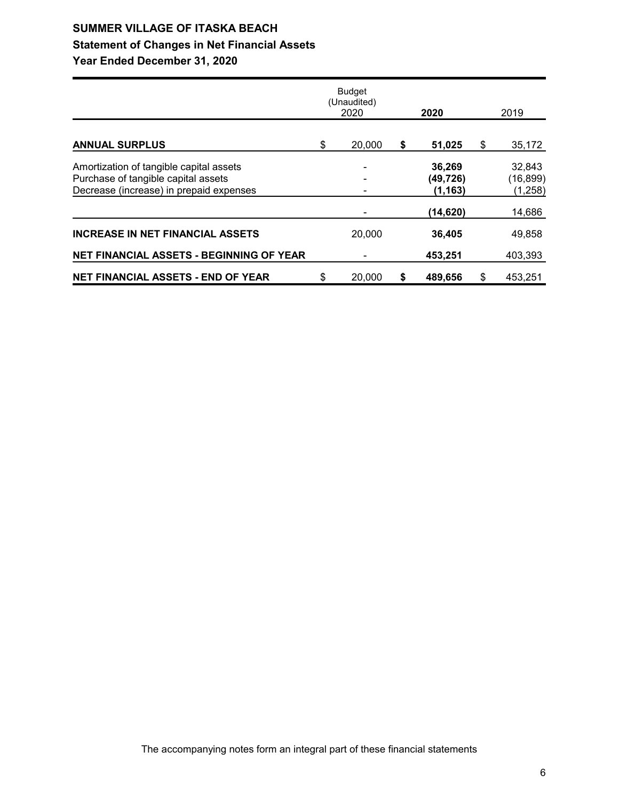### **SUMMER VILLAGE OF ITASKA BEACH Statement of Changes in Net Financial Assets Year Ended December 31, 2020**

Budget (Unaudited) 2020 **2020** 2019 **ANNUAL SURPLUS** \$ 20,000 **\$ 51,025** \$ 35,172 Amortization of tangible capital assets **36,269** 32,843 Purchase of tangible capital assets **and the contract of tangible capital assets (49,726)** (16,899) Decrease (increase) in prepaid expenses **and the expenses** (1,163) (1,258) - **(14,620)** 14,686 **INCREASE IN NET FINANCIAL ASSETS** 20,000 **36,405** 49,858 **NET FINANCIAL ASSETS - BEGINNING OF YEAR 453,251** 403,393 **NET FINANCIAL ASSETS - END OF YEAR** \$ 20,000 **\$ 489,656** \$ 453,251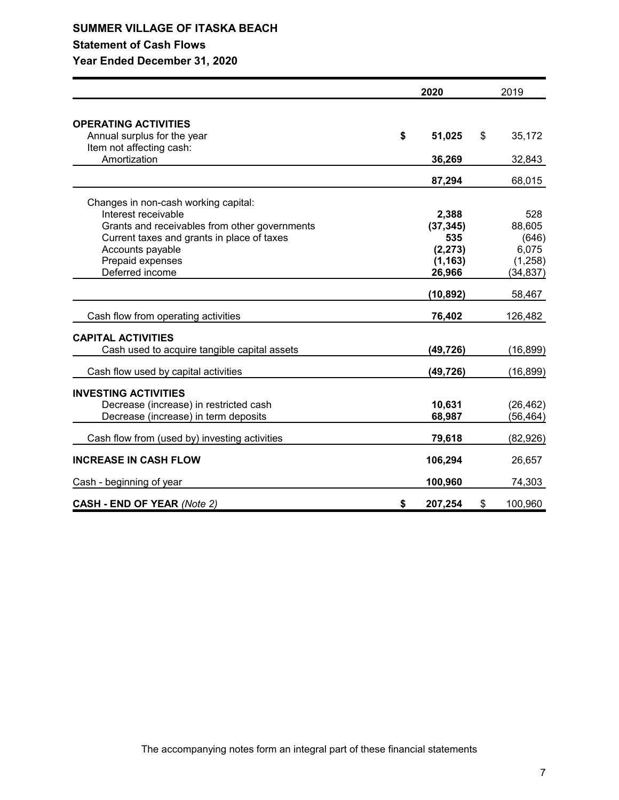### **Statement of Cash Flows**

|                                               | 2020          | 2019          |
|-----------------------------------------------|---------------|---------------|
| <b>OPERATING ACTIVITIES</b>                   |               |               |
| Annual surplus for the year                   | \$<br>51,025  | \$<br>35,172  |
| Item not affecting cash:                      |               |               |
| Amortization                                  | 36,269        | 32,843        |
|                                               | 87,294        | 68,015        |
| Changes in non-cash working capital:          |               |               |
| Interest receivable                           | 2,388         | 528           |
| Grants and receivables from other governments | (37, 345)     | 88,605        |
| Current taxes and grants in place of taxes    | 535           | (646)         |
| Accounts payable                              | (2, 273)      | 6,075         |
| Prepaid expenses                              | (1, 163)      | (1,258)       |
| Deferred income                               | 26,966        | (34, 837)     |
|                                               |               |               |
|                                               | (10, 892)     | 58,467        |
| Cash flow from operating activities           | 76,402        | 126,482       |
| <b>CAPITAL ACTIVITIES</b>                     |               |               |
| Cash used to acquire tangible capital assets  | (49, 726)     | (16, 899)     |
| Cash flow used by capital activities          | (49, 726)     | (16, 899)     |
| <b>INVESTING ACTIVITIES</b>                   |               |               |
| Decrease (increase) in restricted cash        | 10,631        | (26, 462)     |
| Decrease (increase) in term deposits          | 68,987        | (56, 464)     |
|                                               |               |               |
| Cash flow from (used by) investing activities | 79,618        | (82, 926)     |
| <b>INCREASE IN CASH FLOW</b>                  | 106,294       | 26,657        |
| Cash - beginning of year                      | 100,960       | 74,303        |
| <b>CASH - END OF YEAR (Note 2)</b>            | \$<br>207,254 | \$<br>100,960 |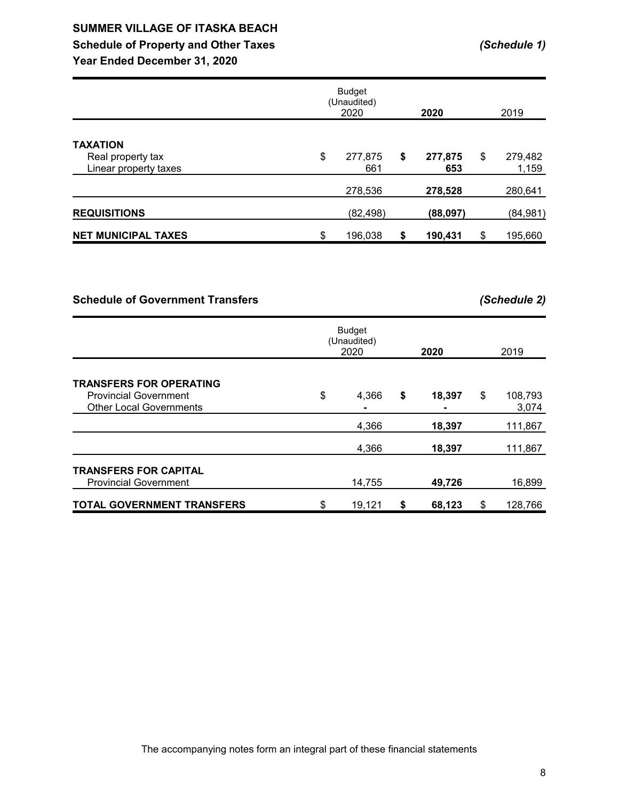### **SUMMER VILLAGE OF ITASKA BEACH Schedule of Property and Other Taxes** *(Schedule 1)*

**Year Ended December 31, 2020**

|                                                               | <b>Budget</b><br>(Unaudited)<br>2020 | 2020                 | 2019 |                  |  |
|---------------------------------------------------------------|--------------------------------------|----------------------|------|------------------|--|
| <b>TAXATION</b><br>Real property tax<br>Linear property taxes | \$<br>277,875<br>661                 | \$<br>277,875<br>653 | \$   | 279,482<br>1,159 |  |
|                                                               | 278,536                              | 278,528              |      | 280,641          |  |
| <b>REQUISITIONS</b>                                           | (82, 498)                            | (88,097)             |      | (84, 981)        |  |
| <b>NET MUNICIPAL TAXES</b>                                    | \$<br>196,038                        | \$<br>190,431        | \$   | 195,660          |  |

### **Schedule of Government Transfers** *(Schedule 2)*

|                                                                | <b>Budget</b><br>(Unaudited)<br>2020 | 2020         | 2019                   |
|----------------------------------------------------------------|--------------------------------------|--------------|------------------------|
| <b>TRANSFERS FOR OPERATING</b>                                 |                                      |              |                        |
| <b>Provincial Government</b><br><b>Other Local Governments</b> | \$<br>4,366                          | \$<br>18,397 | \$<br>108,793<br>3,074 |
|                                                                | 4,366                                | 18,397       | 111,867                |
|                                                                | 4,366                                | 18,397       | 111,867                |
| <b>TRANSFERS FOR CAPITAL</b>                                   |                                      |              |                        |
| <b>Provincial Government</b>                                   | 14,755                               | 49,726       | 16,899                 |
| <b>TOTAL GOVERNMENT TRANSFERS</b>                              | \$<br>19,121                         | \$<br>68,123 | \$<br>128,766          |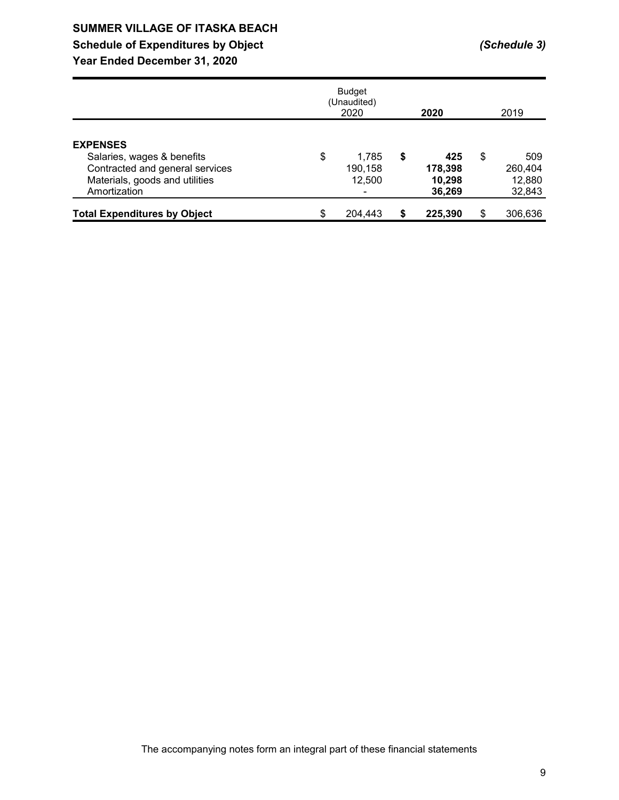# **Schedule of Expenditures by Object** *(Schedule 3)*

|                                                                                                                                    | <b>Budget</b><br>(Unaudited)<br>2020  | 2020                                     | 2019                                     |
|------------------------------------------------------------------------------------------------------------------------------------|---------------------------------------|------------------------------------------|------------------------------------------|
| <b>EXPENSES</b><br>Salaries, wages & benefits<br>Contracted and general services<br>Materials, goods and utilities<br>Amortization | \$<br>1.785<br>190,158<br>12,500<br>- | \$<br>425<br>178,398<br>10,298<br>36,269 | \$<br>509<br>260,404<br>12,880<br>32,843 |
| <b>Total Expenditures by Object</b>                                                                                                | \$<br>204.443                         | \$<br>225,390                            | 306,636                                  |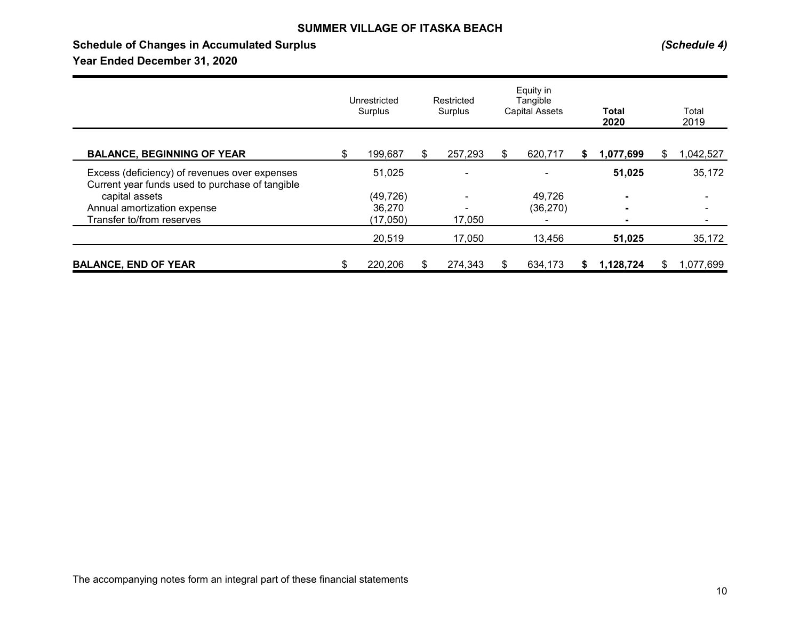### **Schedule of Changes in Accumulated Surplus**

| (Schedule 4) |  |
|--------------|--|
|--------------|--|

|                                                                                                  | Unrestricted<br>Surplus | Restricted<br>Surplus |         |     | Equity in<br>Tangible<br><b>Capital Assets</b> |    | Total<br>2020 |   | Total<br>2019            |
|--------------------------------------------------------------------------------------------------|-------------------------|-----------------------|---------|-----|------------------------------------------------|----|---------------|---|--------------------------|
| <b>BALANCE, BEGINNING OF YEAR</b>                                                                | \$<br>199,687           | \$                    | 257,293 | \$. | 620,717                                        | S. | 1,077,699     | S | 1,042,527                |
| Excess (deficiency) of revenues over expenses<br>Current year funds used to purchase of tangible | 51,025                  |                       |         |     |                                                |    | 51,025        |   | 35,172                   |
| capital assets                                                                                   | (49, 726)               |                       |         |     | 49,726                                         |    | ۰.            |   |                          |
| Annual amortization expense                                                                      | 36,270                  |                       |         |     | (36, 270)                                      |    | ۰             |   | $\overline{\phantom{a}}$ |
| Transfer to/from reserves                                                                        | (17,050)                |                       | 17,050  |     |                                                |    |               |   |                          |
|                                                                                                  | 20,519                  |                       | 17,050  |     | 13,456                                         |    | 51,025        |   | 35,172                   |
| <b>BALANCE, END OF YEAR</b>                                                                      | \$<br>220,206           | S                     | 274,343 |     | 634,173                                        | S  | 1,128,724     | S | 1,077,699                |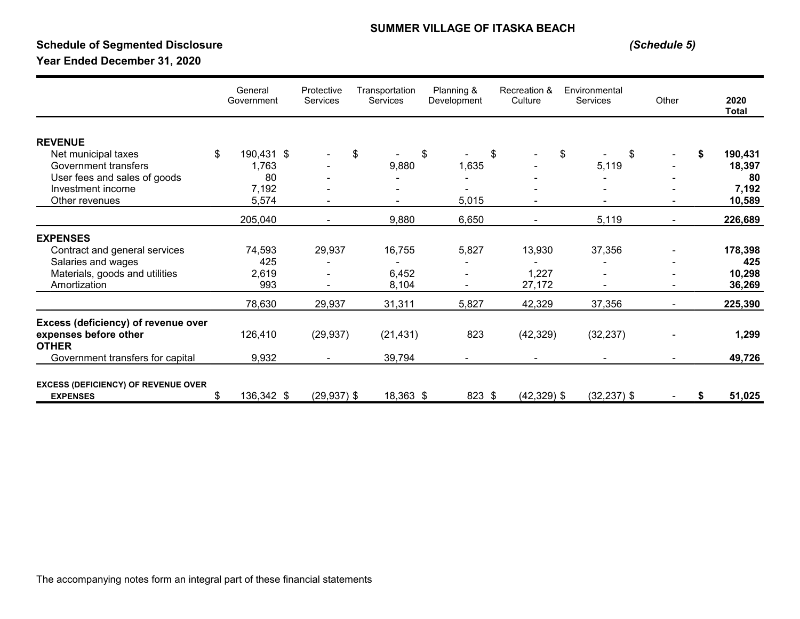## **Schedule of Segmented Disclosure** *(Schedule 5)*

|                                                                              | General<br>Government | Protective<br>Services | Transportation<br><b>Services</b> | Planning &<br>Development | Recreation &<br>Culture | Environmental<br>Services | Other | 2020<br><b>Total</b> |
|------------------------------------------------------------------------------|-----------------------|------------------------|-----------------------------------|---------------------------|-------------------------|---------------------------|-------|----------------------|
| <b>REVENUE</b>                                                               |                       |                        |                                   |                           |                         |                           |       |                      |
| Net municipal taxes                                                          | \$<br>190,431 \$      |                        | \$                                | \$                        | \$                      | \$<br>\$                  |       | \$<br>190,431        |
| Government transfers                                                         | 1,763                 |                        | 9,880                             | 1,635                     |                         | 5,119                     |       | 18,397               |
| User fees and sales of goods                                                 | 80                    |                        |                                   |                           |                         |                           |       | 80                   |
| Investment income                                                            | 7,192                 |                        |                                   |                           |                         |                           |       | 7,192                |
| Other revenues                                                               | 5,574                 |                        |                                   | 5,015                     |                         |                           |       | 10,589               |
|                                                                              | 205,040               |                        | 9,880                             | 6,650                     |                         | 5,119                     |       | 226,689              |
| <b>EXPENSES</b>                                                              |                       |                        |                                   |                           |                         |                           |       |                      |
| Contract and general services                                                | 74,593                | 29,937                 | 16,755                            | 5,827                     | 13,930                  | 37,356                    |       | 178,398              |
| Salaries and wages                                                           | 425                   |                        |                                   | $\blacksquare$            |                         |                           |       | 425                  |
| Materials, goods and utilities                                               | 2,619                 |                        | 6,452                             | ۰                         | 1,227                   | $\blacksquare$            |       | 10,298               |
| Amortization                                                                 | 993                   | $\blacksquare$         | 8,104                             | $\blacksquare$            | 27,172                  | $\blacksquare$            |       | 36,269               |
|                                                                              | 78,630                | 29,937                 | 31,311                            | 5,827                     | 42,329                  | 37,356                    |       | 225,390              |
| Excess (deficiency) of revenue over<br>expenses before other<br><b>OTHER</b> | 126,410               | (29, 937)              | (21, 431)                         | 823                       | (42, 329)               | (32, 237)                 |       | 1,299                |
| Government transfers for capital                                             | 9,932                 |                        | 39,794                            |                           |                         |                           |       | 49,726               |
| <b>EXCESS (DEFICIENCY) OF REVENUE OVER</b><br><b>EXPENSES</b>                | \$<br>136,342 \$      | $(29, 937)$ \$         | 18,363 \$                         | 823 \$                    | $(42,329)$ \$           | $(32, 237)$ \$            |       | \$<br>51,025         |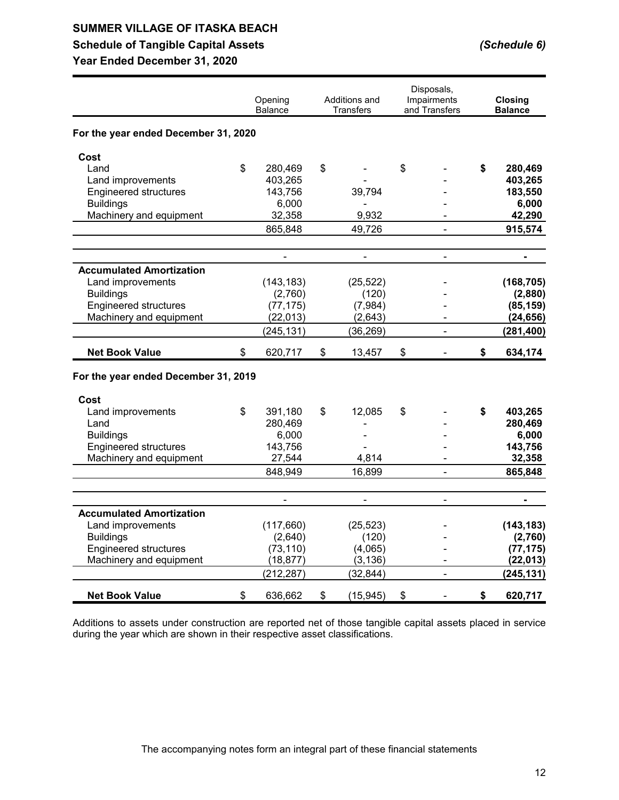# **Schedule of Tangible Capital Assets** *(Schedule 6)*

**Year Ended December 31, 2020**

|                                      |    | Opening<br>Balance |    |                | Disposals,<br>Additions and<br>Impairments<br>Transfers |                |    | and Transfers |  | <b>Closing</b><br><b>Balance</b> |  |  |
|--------------------------------------|----|--------------------|----|----------------|---------------------------------------------------------|----------------|----|---------------|--|----------------------------------|--|--|
| For the year ended December 31, 2020 |    |                    |    |                |                                                         |                |    |               |  |                                  |  |  |
| Cost                                 |    |                    |    |                |                                                         |                |    |               |  |                                  |  |  |
| Land                                 | \$ | 280,469            | \$ |                | \$                                                      |                | \$ | 280,469       |  |                                  |  |  |
| Land improvements                    |    | 403,265            |    |                |                                                         |                |    | 403,265       |  |                                  |  |  |
| <b>Engineered structures</b>         |    | 143,756            |    | 39,794         |                                                         |                |    | 183,550       |  |                                  |  |  |
| <b>Buildings</b>                     |    | 6,000              |    |                |                                                         |                |    | 6,000         |  |                                  |  |  |
| Machinery and equipment              |    | 32,358             |    | 9,932          |                                                         |                |    | 42,290        |  |                                  |  |  |
|                                      |    | 865,848            |    | 49,726         |                                                         |                |    | 915,574       |  |                                  |  |  |
|                                      |    |                    |    |                |                                                         | $\blacksquare$ |    |               |  |                                  |  |  |
| <b>Accumulated Amortization</b>      |    |                    |    |                |                                                         |                |    |               |  |                                  |  |  |
| Land improvements                    |    | (143, 183)         |    | (25, 522)      |                                                         |                |    | (168, 705)    |  |                                  |  |  |
| <b>Buildings</b>                     |    | (2,760)            |    | (120)          |                                                         |                |    | (2,880)       |  |                                  |  |  |
| <b>Engineered structures</b>         |    | (77, 175)          |    | (7,984)        |                                                         |                |    | (85, 159)     |  |                                  |  |  |
| Machinery and equipment              |    | (22, 013)          |    | (2,643)        |                                                         |                |    | (24, 656)     |  |                                  |  |  |
|                                      |    | (245, 131)         |    | (36, 269)      |                                                         | $\blacksquare$ |    | (281, 400)    |  |                                  |  |  |
| <b>Net Book Value</b>                | \$ | 620,717            | \$ | 13,457         | \$                                                      |                | \$ | 634,174       |  |                                  |  |  |
| For the year ended December 31, 2019 |    |                    |    |                |                                                         |                |    |               |  |                                  |  |  |
| Cost                                 |    |                    |    |                |                                                         |                |    |               |  |                                  |  |  |
| Land improvements                    | \$ | 391,180            | \$ | 12,085         | \$                                                      |                | \$ | 403,265       |  |                                  |  |  |
| Land                                 |    | 280,469            |    |                |                                                         |                |    | 280,469       |  |                                  |  |  |
| <b>Buildings</b>                     |    | 6,000              |    |                |                                                         |                |    | 6,000         |  |                                  |  |  |
| <b>Engineered structures</b>         |    | 143,756            |    |                |                                                         |                |    | 143,756       |  |                                  |  |  |
| Machinery and equipment              |    | 27,544             |    | 4,814          |                                                         |                |    | 32,358        |  |                                  |  |  |
|                                      |    | 848,949            |    | 16,899         |                                                         | $\blacksquare$ |    | 865,848       |  |                                  |  |  |
|                                      |    |                    |    | $\blacksquare$ |                                                         | $\blacksquare$ |    |               |  |                                  |  |  |
| <b>Accumulated Amortization</b>      |    |                    |    |                |                                                         |                |    |               |  |                                  |  |  |
| Land improvements                    |    | (117,660)          |    | (25, 523)      |                                                         |                |    | (143, 183)    |  |                                  |  |  |
| <b>Buildings</b>                     |    | (2,640)            |    | (120)          |                                                         |                |    | (2,760)       |  |                                  |  |  |
| <b>Engineered structures</b>         |    | (73, 110)          |    | (4,065)        |                                                         |                |    | (77, 175)     |  |                                  |  |  |
| Machinery and equipment              |    | (18, 877)          |    | (3, 136)       |                                                         |                |    | (22, 013)     |  |                                  |  |  |

|                                                                                                           |         | 132.844  | -                        | (245, 131) |
|-----------------------------------------------------------------------------------------------------------|---------|----------|--------------------------|------------|
| <b>Net Book Value</b>                                                                                     | 636.662 | (15.945) | $\overline{\phantom{a}}$ | 620.717    |
| Additions to assets under construction are reported pet of those tangular equations tenses of anoitibble. |         |          |                          |            |

Additions to assets under construction are reported net of those tangible capital assets placed in service during the year which are shown in their respective asset classifications.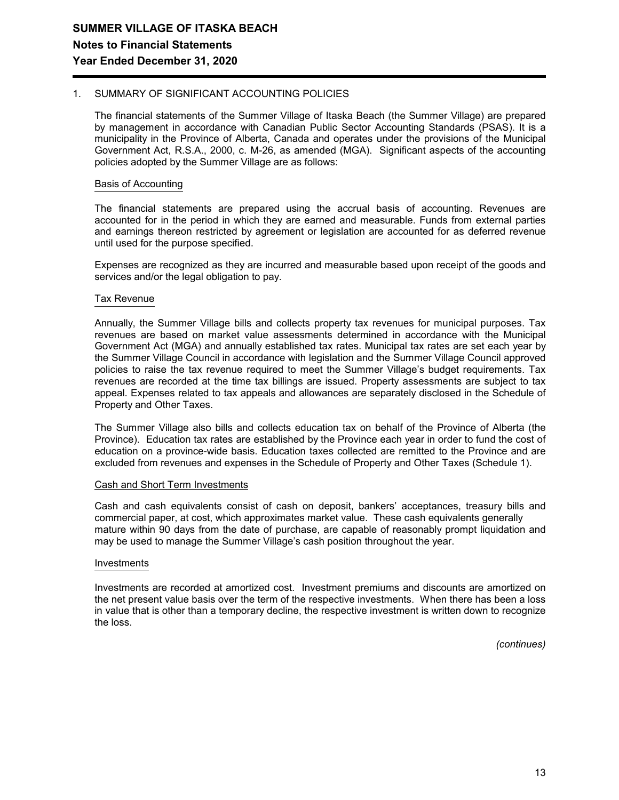#### 1. SUMMARY OF SIGNIFICANT ACCOUNTING POLICIES

The financial statements of the Summer Village of Itaska Beach (the Summer Village) are prepared by management in accordance with Canadian Public Sector Accounting Standards (PSAS). It is a municipality in the Province of Alberta, Canada and operates under the provisions of the Municipal Government Act, R.S.A., 2000, c. M-26, as amended (MGA). Significant aspects of the accounting policies adopted by the Summer Village are as follows:

#### Basis of Accounting

The financial statements are prepared using the accrual basis of accounting. Revenues are accounted for in the period in which they are earned and measurable. Funds from external parties and earnings thereon restricted by agreement or legislation are accounted for as deferred revenue until used for the purpose specified.

Expenses are recognized as they are incurred and measurable based upon receipt of the goods and services and/or the legal obligation to pay.

#### Tax Revenue

Annually, the Summer Village bills and collects property tax revenues for municipal purposes. Tax revenues are based on market value assessments determined in accordance with the Municipal Government Act (MGA) and annually established tax rates. Municipal tax rates are set each year by the Summer Village Council in accordance with legislation and the Summer Village Council approved policies to raise the tax revenue required to meet the Summer Village's budget requirements. Tax revenues are recorded at the time tax billings are issued. Property assessments are subject to tax appeal. Expenses related to tax appeals and allowances are separately disclosed in the Schedule of Property and Other Taxes.

The Summer Village also bills and collects education tax on behalf of the Province of Alberta (the Province). Education tax rates are established by the Province each year in order to fund the cost of education on a province-wide basis. Education taxes collected are remitted to the Province and are excluded from revenues and expenses in the Schedule of Property and Other Taxes (Schedule 1).

#### Cash and Short Term Investments

Cash and cash equivalents consist of cash on deposit, bankers' acceptances, treasury bills and commercial paper, at cost, which approximates market value. These cash equivalents generally mature within 90 days from the date of purchase, are capable of reasonably prompt liquidation and may be used to manage the Summer Village's cash position throughout the year.

#### Investments

Investments are recorded at amortized cost. Investment premiums and discounts are amortized on the net present value basis over the term of the respective investments. When there has been a loss in value that is other than a temporary decline, the respective investment is written down to recognize the loss.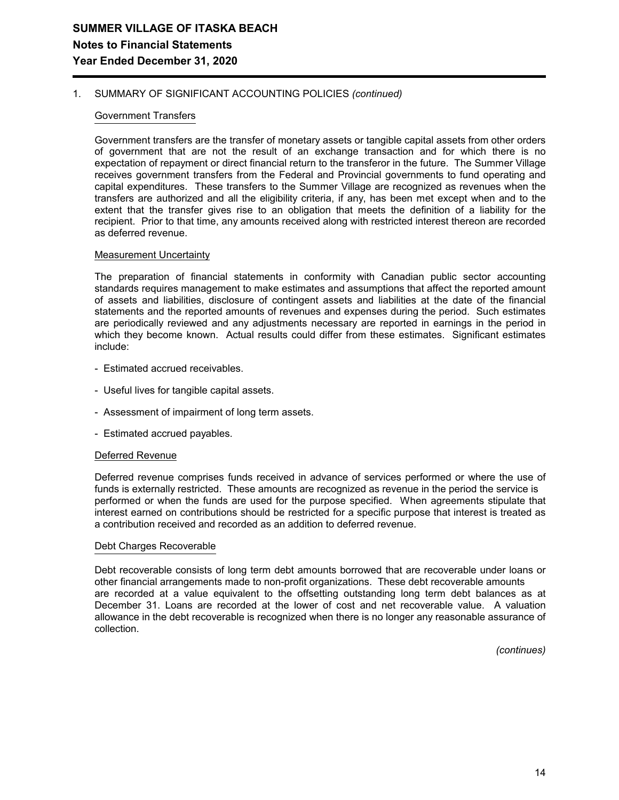#### 1. SUMMARY OF SIGNIFICANT ACCOUNTING POLICIES *(continued)*

#### Government Transfers

Government transfers are the transfer of monetary assets or tangible capital assets from other orders of government that are not the result of an exchange transaction and for which there is no expectation of repayment or direct financial return to the transferor in the future. The Summer Village receives government transfers from the Federal and Provincial governments to fund operating and capital expenditures. These transfers to the Summer Village are recognized as revenues when the transfers are authorized and all the eligibility criteria, if any, has been met except when and to the extent that the transfer gives rise to an obligation that meets the definition of a liability for the recipient. Prior to that time, any amounts received along with restricted interest thereon are recorded as deferred revenue.

#### Measurement Uncertainty

The preparation of financial statements in conformity with Canadian public sector accounting standards requires management to make estimates and assumptions that affect the reported amount of assets and liabilities, disclosure of contingent assets and liabilities at the date of the financial statements and the reported amounts of revenues and expenses during the period. Such estimates are periodically reviewed and any adjustments necessary are reported in earnings in the period in which they become known. Actual results could differ from these estimates. Significant estimates include:

- Estimated accrued receivables.
- Useful lives for tangible capital assets.
- Assessment of impairment of long term assets.
- Estimated accrued payables.

#### Deferred Revenue

Deferred revenue comprises funds received in advance of services performed or where the use of funds is externally restricted. These amounts are recognized as revenue in the period the service is performed or when the funds are used for the purpose specified. When agreements stipulate that interest earned on contributions should be restricted for a specific purpose that interest is treated as a contribution received and recorded as an addition to deferred revenue.

#### Debt Charges Recoverable

Debt recoverable consists of long term debt amounts borrowed that are recoverable under loans or other financial arrangements made to non-profit organizations. These debt recoverable amounts are recorded at a value equivalent to the offsetting outstanding long term debt balances as at December 31. Loans are recorded at the lower of cost and net recoverable value. A valuation allowance in the debt recoverable is recognized when there is no longer any reasonable assurance of collection.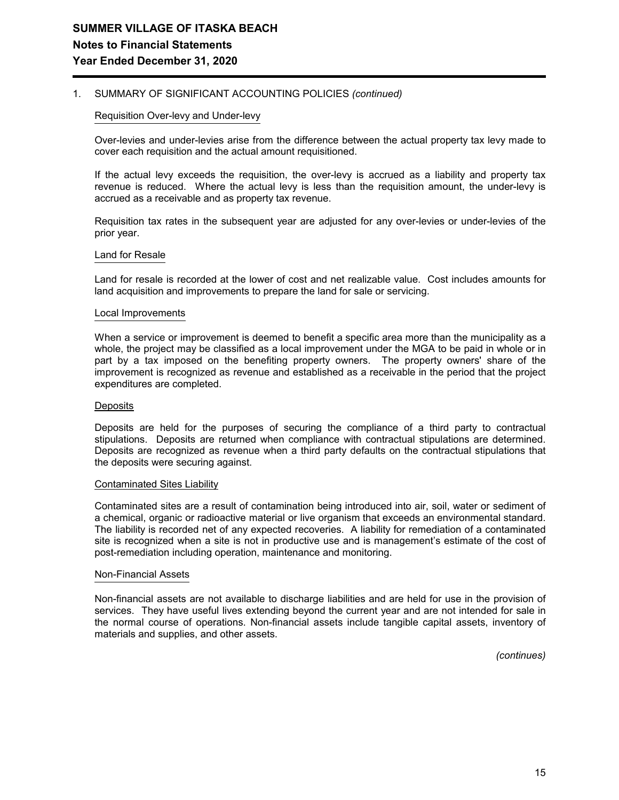#### 1. SUMMARY OF SIGNIFICANT ACCOUNTING POLICIES *(continued)*

#### Requisition Over-levy and Under-levy

Over-levies and under-levies arise from the difference between the actual property tax levy made to cover each requisition and the actual amount requisitioned.

If the actual levy exceeds the requisition, the over-levy is accrued as a liability and property tax revenue is reduced. Where the actual levy is less than the requisition amount, the under-levy is accrued as a receivable and as property tax revenue.

Requisition tax rates in the subsequent year are adjusted for any over-levies or under-levies of the prior year.

#### Land for Resale

Land for resale is recorded at the lower of cost and net realizable value. Cost includes amounts for land acquisition and improvements to prepare the land for sale or servicing.

#### Local Improvements

When a service or improvement is deemed to benefit a specific area more than the municipality as a whole, the project may be classified as a local improvement under the MGA to be paid in whole or in part by a tax imposed on the benefiting property owners. The property owners' share of the improvement is recognized as revenue and established as a receivable in the period that the project expenditures are completed.

#### **Deposits**

Deposits are held for the purposes of securing the compliance of a third party to contractual stipulations. Deposits are returned when compliance with contractual stipulations are determined. Deposits are recognized as revenue when a third party defaults on the contractual stipulations that the deposits were securing against.

#### Contaminated Sites Liability

Contaminated sites are a result of contamination being introduced into air, soil, water or sediment of a chemical, organic or radioactive material or live organism that exceeds an environmental standard. The liability is recorded net of any expected recoveries. A liability for remediation of a contaminated site is recognized when a site is not in productive use and is management's estimate of the cost of post-remediation including operation, maintenance and monitoring.

#### Non-Financial Assets

Non-financial assets are not available to discharge liabilities and are held for use in the provision of services. They have useful lives extending beyond the current year and are not intended for sale in the normal course of operations. Non-financial assets include tangible capital assets, inventory of materials and supplies, and other assets.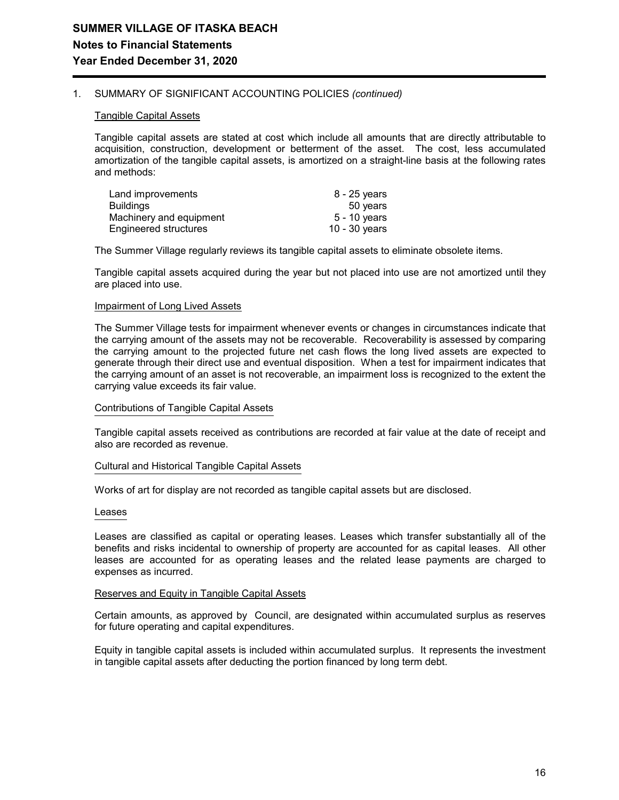#### 1. SUMMARY OF SIGNIFICANT ACCOUNTING POLICIES *(continued)*

#### Tangible Capital Assets

Tangible capital assets are stated at cost which include all amounts that are directly attributable to acquisition, construction, development or betterment of the asset. The cost, less accumulated amortization of the tangible capital assets, is amortized on a straight-line basis at the following rates and methods:

| Land improvements       | 8 - 25 years   |
|-------------------------|----------------|
| <b>Buildings</b>        | 50 years       |
| Machinery and equipment | $5 - 10$ years |
| Engineered structures   | 10 - 30 years  |

The Summer Village regularly reviews its tangible capital assets to eliminate obsolete items.

Tangible capital assets acquired during the year but not placed into use are not amortized until they are placed into use.

#### Impairment of Long Lived Assets

The Summer Village tests for impairment whenever events or changes in circumstances indicate that the carrying amount of the assets may not be recoverable. Recoverability is assessed by comparing the carrying amount to the projected future net cash flows the long lived assets are expected to generate through their direct use and eventual disposition. When a test for impairment indicates that the carrying amount of an asset is not recoverable, an impairment loss is recognized to the extent the carrying value exceeds its fair value.

#### Contributions of Tangible Capital Assets

Tangible capital assets received as contributions are recorded at fair value at the date of receipt and also are recorded as revenue.

#### Cultural and Historical Tangible Capital Assets

Works of art for display are not recorded as tangible capital assets but are disclosed.

#### Leases

Leases are classified as capital or operating leases. Leases which transfer substantially all of the benefits and risks incidental to ownership of property are accounted for as capital leases. All other leases are accounted for as operating leases and the related lease payments are charged to expenses as incurred.

#### Reserves and Equity in Tangible Capital Assets

Certain amounts, as approved by Council, are designated within accumulated surplus as reserves for future operating and capital expenditures.

Equity in tangible capital assets is included within accumulated surplus. It represents the investment in tangible capital assets after deducting the portion financed by long term debt.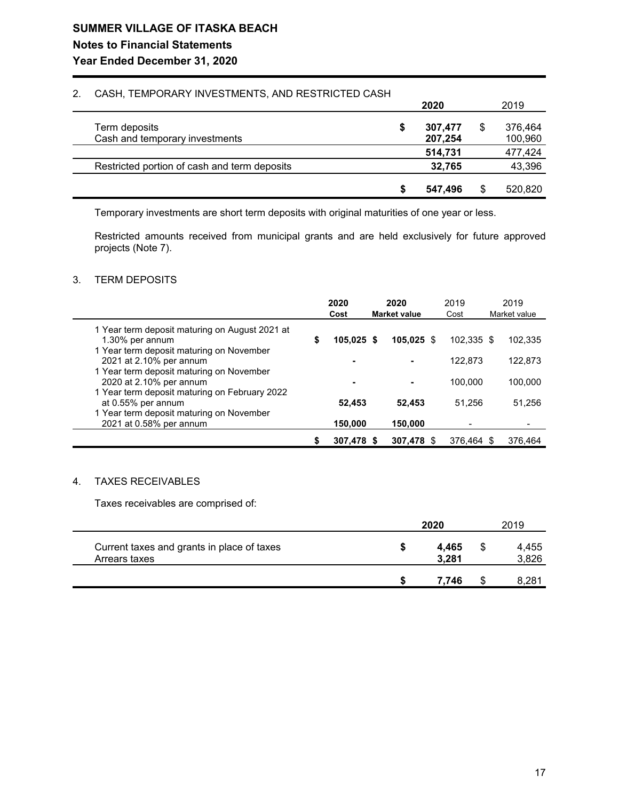### **SUMMER VILLAGE OF ITASKA BEACH Notes to Financial Statements Year Ended December 31, 2020**

#### 2. CASH, TEMPORARY INVESTMENTS, AND RESTRICTED CASH

|                                              |  | 2019    |         |
|----------------------------------------------|--|---------|---------|
| Term deposits                                |  | 307,477 | 376.464 |
| Cash and temporary investments               |  | 207,254 | 100,960 |
|                                              |  | 514,731 | 477,424 |
| Restricted portion of cash and term deposits |  | 32,765  | 43,396  |
|                                              |  | 547,496 | 520,820 |

Temporary investments are short term deposits with original maturities of one year or less.

Restricted amounts received from municipal grants and are held exclusively for future approved projects (Note 7).

#### 3. TERM DEPOSITS

|                                                                                                                 |    | 2020<br>Cost | 2020<br><b>Market value</b> |              | 2019<br>Cost | 2019<br>Market value |
|-----------------------------------------------------------------------------------------------------------------|----|--------------|-----------------------------|--------------|--------------|----------------------|
| 1 Year term deposit maturing on August 2021 at<br>1.30% per annum                                               | S  | 105,025 \$   |                             | $105,025$ \$ | 102,335 \$   | 102,335              |
| 1 Year term deposit maturing on November<br>2021 at 2.10% per annum<br>1 Year term deposit maturing on November |    |              |                             |              | 122.873      | 122,873              |
| 2020 at 2.10% per annum                                                                                         |    | ۰            |                             |              | 100.000      | 100,000              |
| 1 Year term deposit maturing on February 2022<br>at 0.55% per annum<br>1 Year term deposit maturing on November |    | 52,453       |                             | 52.453       | 51,256       | 51,256               |
| 2021 at 0.58% per annum                                                                                         |    | 150,000      |                             | 150,000      |              |                      |
|                                                                                                                 | \$ | 307.478 \$   |                             | 307.478 \$   | 376,464 \$   | 376.464              |

#### 4. TAXES RECEIVABLES

Taxes receivables are comprised of:

|                                                             |   | 2019           |  |                |
|-------------------------------------------------------------|---|----------------|--|----------------|
| Current taxes and grants in place of taxes<br>Arrears taxes | ъ | 4.465<br>3,281 |  | 4,455<br>3,826 |
|                                                             |   | 7.746          |  | 8,281          |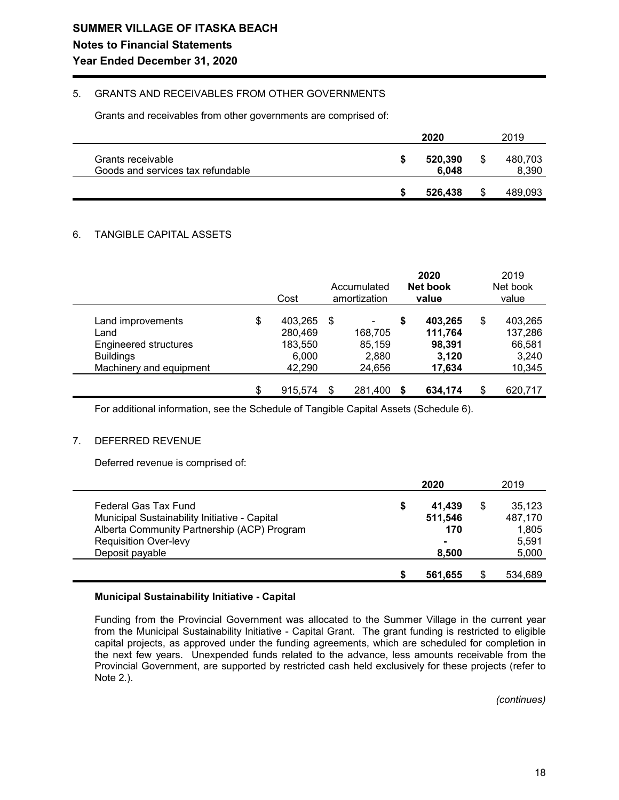# **SUMMER VILLAGE OF ITASKA BEACH Notes to Financial Statements**

#### **Year Ended December 31, 2020**

#### 5. GRANTS AND RECEIVABLES FROM OTHER GOVERNMENTS

Grants and receivables from other governments are comprised of:

|                                                        | 2020             |    | 2019             |
|--------------------------------------------------------|------------------|----|------------------|
| Grants receivable<br>Goods and services tax refundable | 520,390<br>6,048 | S  | 480,703<br>8,390 |
|                                                        | 526,438          | \$ | 489,093          |

#### 6. TANGIBLE CAPITAL ASSETS

|                              | Cost          |    | Accumulated<br>amortization |    | 2020<br>Net book<br>value | 2019<br>Net book<br>value |
|------------------------------|---------------|----|-----------------------------|----|---------------------------|---------------------------|
| Land improvements            | \$<br>403,265 | \$ | -                           | \$ | 403,265                   | \$<br>403,265             |
| Land                         | 280,469       |    | 168.705                     |    | 111,764                   | 137,286                   |
| <b>Engineered structures</b> | 183,550       |    | 85,159                      |    | 98,391                    | 66,581                    |
| <b>Buildings</b>             | 6,000         |    | 2,880                       |    | 3.120                     | 3,240                     |
| Machinery and equipment      | 42,290        |    | 24,656                      |    | 17,634                    | 10,345                    |
|                              | \$<br>915.574 | S  | 281,400                     | S  | 634,174                   | \$<br>620,717             |

For additional information, see the Schedule of Tangible Capital Assets (Schedule 6).

#### 7. DEFERRED REVENUE

Deferred revenue is comprised of:

|                                               |   | 2020           |   | 2019    |
|-----------------------------------------------|---|----------------|---|---------|
| Federal Gas Tax Fund                          | S | 41.439         | S | 35.123  |
| Municipal Sustainability Initiative - Capital |   | 511,546        |   | 487,170 |
| Alberta Community Partnership (ACP) Program   |   | 170            |   | 1,805   |
| <b>Requisition Over-levy</b>                  |   | $\blacksquare$ |   | 5.591   |
| Deposit payable                               |   | 8,500          |   | 5,000   |
|                                               |   |                |   |         |
|                                               |   | 561.655        |   | 534.689 |

#### **Municipal Sustainability Initiative - Capital**

Funding from the Provincial Government was allocated to the Summer Village in the current year from the Municipal Sustainability Initiative - Capital Grant. The grant funding is restricted to eligible capital projects, as approved under the funding agreements, which are scheduled for completion in the next few years. Unexpended funds related to the advance, less amounts receivable from the Provincial Government, are supported by restricted cash held exclusively for these projects (refer to Note 2.).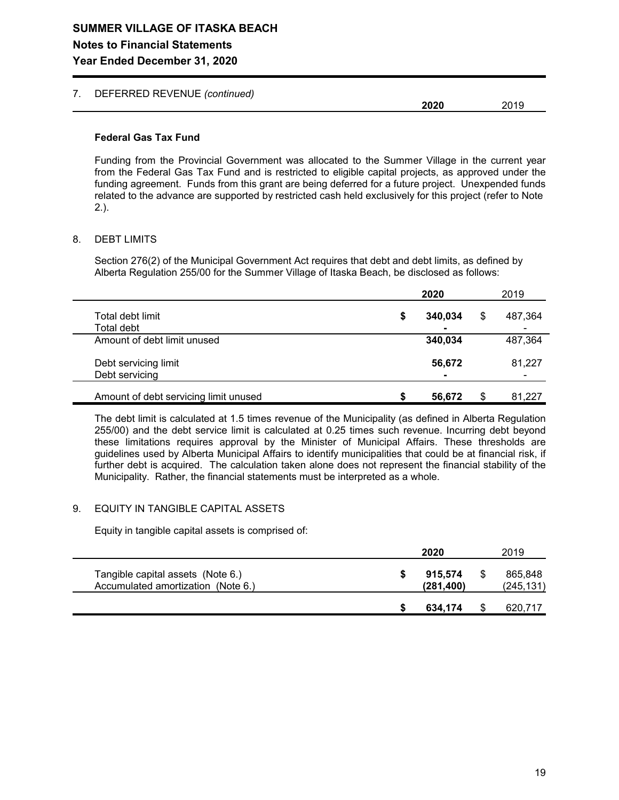#### 7. DEFERRED REVENUE *(continued)*

**2020** 2019

#### **Federal Gas Tax Fund**

Funding from the Provincial Government was allocated to the Summer Village in the current year from the Federal Gas Tax Fund and is restricted to eligible capital projects, as approved under the funding agreement. Funds from this grant are being deferred for a future project. Unexpended funds related to the advance are supported by restricted cash held exclusively for this project (refer to Note 2.).

#### 8. DEBT LIMITS

Section 276(2) of the Municipal Government Act requires that debt and debt limits, as defined by Alberta Regulation 255/00 for the Summer Village of Itaska Beach, be disclosed as follows:

|                                        |   | 2020                      | 2019 |              |  |
|----------------------------------------|---|---------------------------|------|--------------|--|
| Total debt limit<br><b>Total debt</b>  | S | 340,034<br>$\blacksquare$ | \$   | 487,364<br>- |  |
| Amount of debt limit unused            |   | 340,034                   |      | 487,364      |  |
| Debt servicing limit<br>Debt servicing |   | 56,672<br>$\blacksquare$  |      | 81,227       |  |
| Amount of debt servicing limit unused  |   | 56,672                    | S    | 81.227       |  |

The debt limit is calculated at 1.5 times revenue of the Municipality (as defined in Alberta Regulation 255/00) and the debt service limit is calculated at 0.25 times such revenue. Incurring debt beyond these limitations requires approval by the Minister of Municipal Affairs. These thresholds are guidelines used by Alberta Municipal Affairs to identify municipalities that could be at financial risk, if further debt is acquired. The calculation taken alone does not represent the financial stability of the Municipality. Rather, the financial statements must be interpreted as a whole.

#### 9. EQUITY IN TANGIBLE CAPITAL ASSETS

Equity in tangible capital assets is comprised of:

|                                                                         | 2020                  | 2019                  |
|-------------------------------------------------------------------------|-----------------------|-----------------------|
| Tangible capital assets (Note 6.)<br>Accumulated amortization (Note 6.) | 915.574<br>(281, 400) | 865.848<br>(245, 131) |
|                                                                         | 634.174               | 620,717               |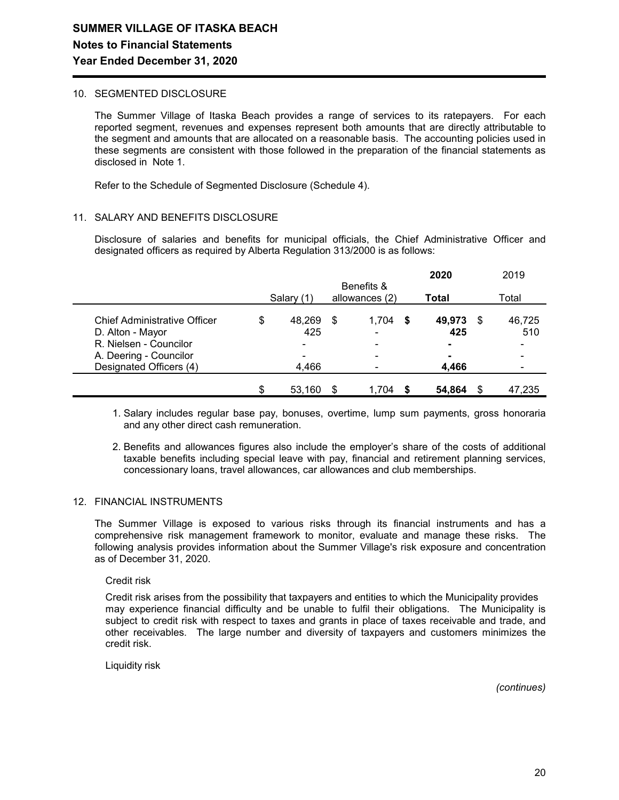#### 10. SEGMENTED DISCLOSURE

The Summer Village of Itaska Beach provides a range of services to its ratepayers. For each reported segment, revenues and expenses represent both amounts that are directly attributable to the segment and amounts that are allocated on a reasonable basis. The accounting policies used in these segments are consistent with those followed in the preparation of the financial statements as disclosed in Note 1.

Refer to the Schedule of Segmented Disclosure (Schedule 4).

#### 11. SALARY AND BENEFITS DISCLOSURE

Disclosure of salaries and benefits for municipal officials, the Chief Administrative Officer and designated officers as required by Alberta Regulation 313/2000 is as follows:

|                                     |                          |   |                              | 2020   | 2019         |
|-------------------------------------|--------------------------|---|------------------------------|--------|--------------|
|                                     | Salary (1)               |   | Benefits &<br>allowances (2) | Total  | Total        |
|                                     |                          |   |                              |        |              |
| <b>Chief Administrative Officer</b> | \$<br>48,269             | S | 1,704<br>\$                  | 49,973 | \$<br>46,725 |
| D. Alton - Mayor                    | 425                      |   | ۰                            | 425    | 510          |
| R. Nielsen - Councilor              | $\overline{\phantom{a}}$ |   |                              | ۰      |              |
| A. Deering - Councilor              | ۰                        |   |                              | ٠      |              |
| Designated Officers (4)             | 4,466                    |   |                              | 4,466  |              |
|                                     |                          |   |                              |        |              |
|                                     | \$<br>53,160             |   | 1.704                        | 54,864 | \$<br>47,235 |

- 1. Salary includes regular base pay, bonuses, overtime, lump sum payments, gross honoraria and any other direct cash remuneration.
- 2. Benefits and allowances figures also include the employer's share of the costs of additional taxable benefits including special leave with pay, financial and retirement planning services, concessionary loans, travel allowances, car allowances and club memberships.

#### 12. FINANCIAL INSTRUMENTS

The Summer Village is exposed to various risks through its financial instruments and has a comprehensive risk management framework to monitor, evaluate and manage these risks. The following analysis provides information about the Summer Village's risk exposure and concentration as of December 31, 2020.

Credit risk

Credit risk arises from the possibility that taxpayers and entities to which the Municipality provides may experience financial difficulty and be unable to fulfil their obligations. The Municipality is subject to credit risk with respect to taxes and grants in place of taxes receivable and trade, and other receivables. The large number and diversity of taxpayers and customers minimizes the credit risk.

Liquidity risk